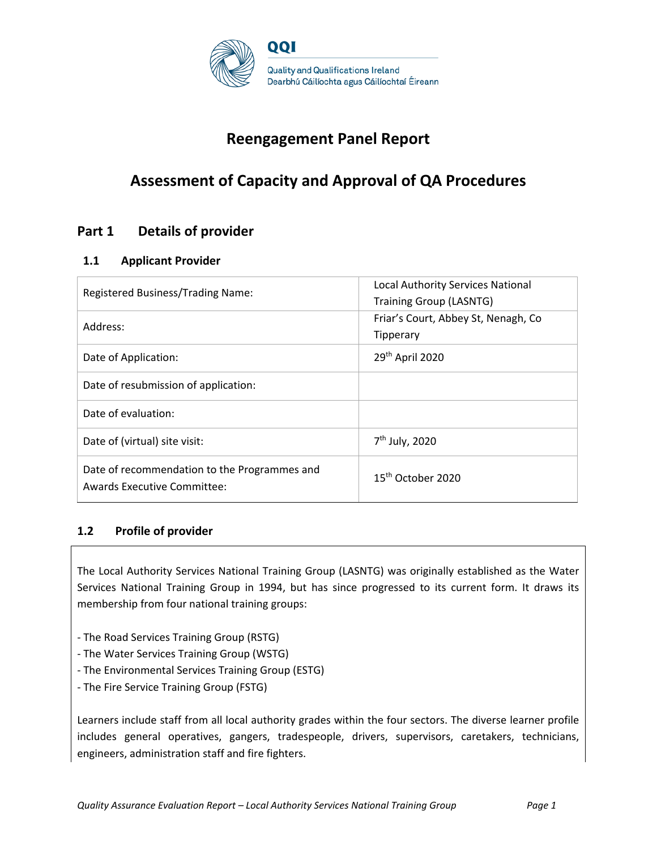

# **Reengagement Panel Report**

# **Assessment of Capacity and Approval of QA Procedures**

## **Part 1 Details of provider**

## **1.1 Applicant Provider**

| Registered Business/Trading Name:                                                  | <b>Local Authority Services National</b> |
|------------------------------------------------------------------------------------|------------------------------------------|
|                                                                                    | Training Group (LASNTG)                  |
| Address:                                                                           | Friar's Court, Abbey St, Nenagh, Co      |
|                                                                                    | Tipperary                                |
| Date of Application:                                                               | 29th April 2020                          |
| Date of resubmission of application:                                               |                                          |
| Date of evaluation:                                                                |                                          |
| Date of (virtual) site visit:                                                      | 7 <sup>th</sup> July, 2020               |
| Date of recommendation to the Programmes and<br><b>Awards Executive Committee:</b> | 15 <sup>th</sup> October 2020            |

## **1.2 Profile of provider**

The Local Authority Services National Training Group (LASNTG) was originally established as the Water Services National Training Group in 1994, but has since progressed to its current form. It draws its membership from four national training groups:

- The Road Services Training Group (RSTG)
- The Water Services Training Group (WSTG)
- The Environmental Services Training Group (ESTG)
- The Fire Service Training Group (FSTG)

Learners include staff from all local authority grades within the four sectors. The diverse learner profile includes general operatives, gangers, tradespeople, drivers, supervisors, caretakers, technicians, engineers, administration staff and fire fighters.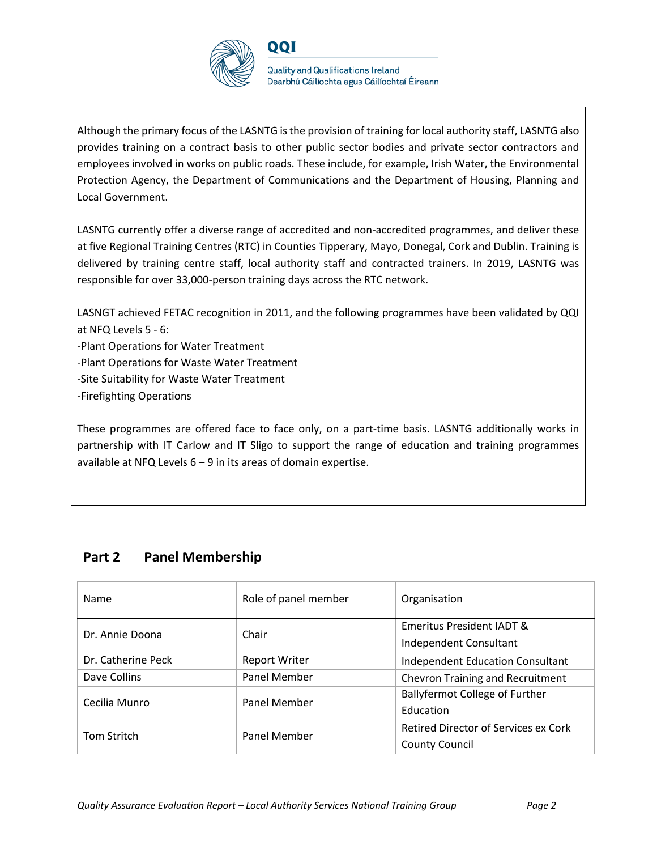

Although the primary focus of the LASNTG is the provision of training for local authority staff, LASNTG also provides training on a contract basis to other public sector bodies and private sector contractors and employees involved in works on public roads. These include, for example, Irish Water, the Environmental Protection Agency, the Department of Communications and the Department of Housing, Planning and Local Government.

LASNTG currently offer a diverse range of accredited and non-accredited programmes, and deliver these at five Regional Training Centres (RTC) in Counties Tipperary, Mayo, Donegal, Cork and Dublin. Training is delivered by training centre staff, local authority staff and contracted trainers. In 2019, LASNTG was responsible for over 33,000-person training days across the RTC network.

LASNGT achieved FETAC recognition in 2011, and the following programmes have been validated by QQI at NFQ Levels 5 - 6:

-Plant Operations for Water Treatment

-Plant Operations for Waste Water Treatment

-Site Suitability for Waste Water Treatment

-Firefighting Operations

These programmes are offered face to face only, on a part-time basis. LASNTG additionally works in partnership with IT Carlow and IT Sligo to support the range of education and training programmes available at NFQ Levels  $6 - 9$  in its areas of domain expertise.

| Part 2 | <b>Panel Membership</b> |
|--------|-------------------------|
|--------|-------------------------|

| Name               | Role of panel member | Organisation                            |
|--------------------|----------------------|-----------------------------------------|
| Dr. Annie Doona    | Chair                | Emeritus President IADT &               |
|                    |                      | Independent Consultant                  |
| Dr. Catherine Peck | <b>Report Writer</b> | <b>Independent Education Consultant</b> |
| Dave Collins       | Panel Member         | <b>Chevron Training and Recruitment</b> |
| Cecilia Munro      | <b>Panel Member</b>  | <b>Ballyfermot College of Further</b>   |
|                    |                      | Education                               |
| Tom Stritch        | <b>Panel Member</b>  | Retired Director of Services ex Cork    |
|                    |                      | <b>County Council</b>                   |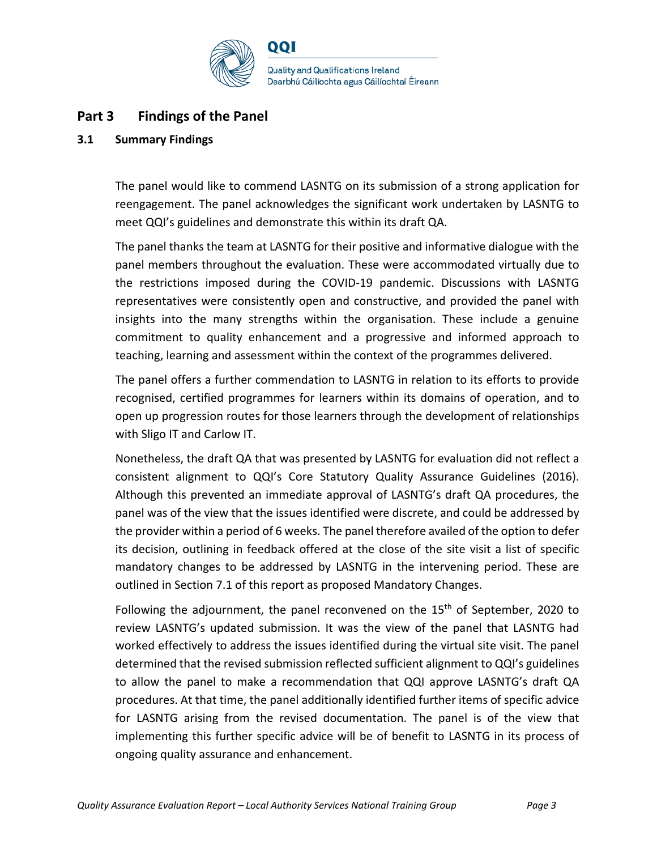

## **Part 3 Findings of the Panel**

### **3.1 Summary Findings**

The panel would like to commend LASNTG on its submission of a strong application for reengagement. The panel acknowledges the significant work undertaken by LASNTG to meet QQI's guidelines and demonstrate this within its draft QA.

The panel thanks the team at LASNTG for their positive and informative dialogue with the panel members throughout the evaluation. These were accommodated virtually due to the restrictions imposed during the COVID-19 pandemic. Discussions with LASNTG representatives were consistently open and constructive, and provided the panel with insights into the many strengths within the organisation. These include a genuine commitment to quality enhancement and a progressive and informed approach to teaching, learning and assessment within the context of the programmes delivered.

The panel offers a further commendation to LASNTG in relation to its efforts to provide recognised, certified programmes for learners within its domains of operation, and to open up progression routes for those learners through the development of relationships with Sligo IT and Carlow IT.

Nonetheless, the draft QA that was presented by LASNTG for evaluation did not reflect a consistent alignment to QQI's Core Statutory Quality Assurance Guidelines (2016). Although this prevented an immediate approval of LASNTG's draft QA procedures, the panel was of the view that the issues identified were discrete, and could be addressed by the provider within a period of 6 weeks. The panel therefore availed of the option to defer its decision, outlining in feedback offered at the close of the site visit a list of specific mandatory changes to be addressed by LASNTG in the intervening period. These are outlined in Section 7.1 of this report as proposed Mandatory Changes.

Following the adjournment, the panel reconvened on the  $15<sup>th</sup>$  of September, 2020 to review LASNTG's updated submission. It was the view of the panel that LASNTG had worked effectively to address the issues identified during the virtual site visit. The panel determined that the revised submission reflected sufficient alignment to QQI's guidelines to allow the panel to make a recommendation that QQI approve LASNTG's draft QA procedures. At that time, the panel additionally identified further items of specific advice for LASNTG arising from the revised documentation. The panel is of the view that implementing this further specific advice will be of benefit to LASNTG in its process of ongoing quality assurance and enhancement.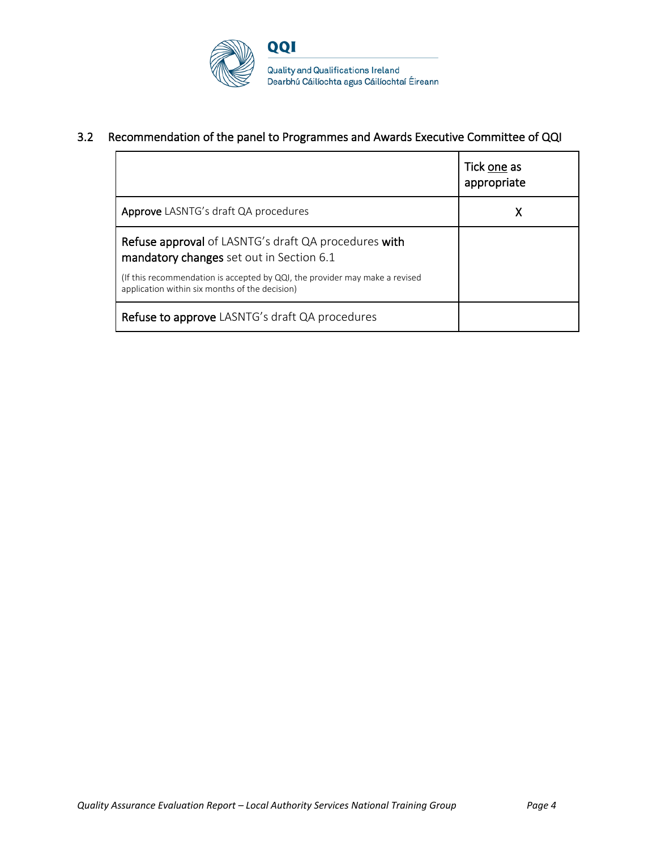

## 3.2 Recommendation of the panel to Programmes and Awards Executive Committee of QQI

|                                                                                                                               | Tick one as<br>appropriate |
|-------------------------------------------------------------------------------------------------------------------------------|----------------------------|
| <b>Approve</b> LASNTG's draft QA procedures                                                                                   |                            |
| Refuse approval of LASNTG's draft QA procedures with<br>mandatory changes set out in Section 6.1                              |                            |
| (If this recommendation is accepted by QQI, the provider may make a revised<br>application within six months of the decision) |                            |
| <b>Refuse to approve</b> LASNTG's draft QA procedures                                                                         |                            |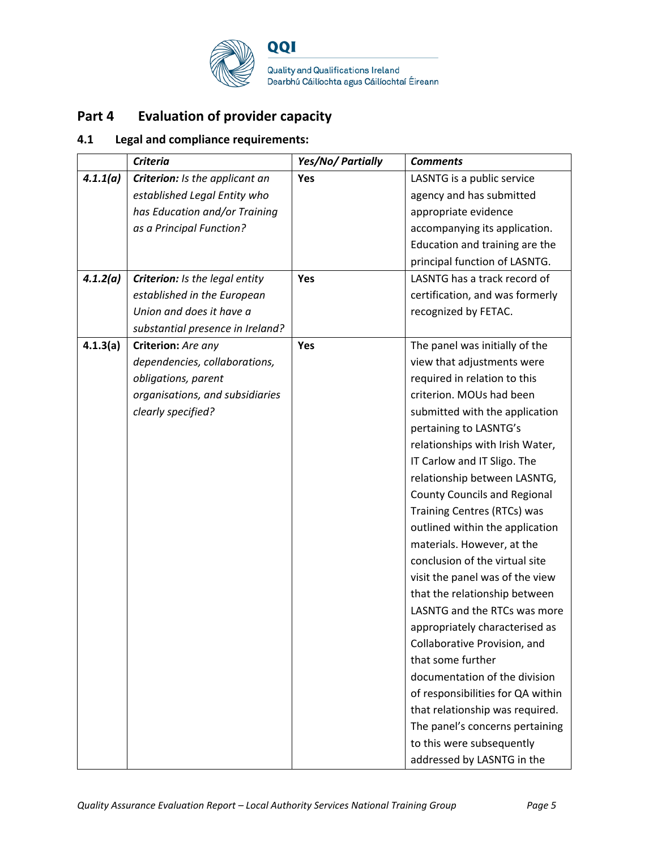

# **Part 4 Evaluation of provider capacity**

## **4.1 Legal and compliance requirements:**

|          | <b>Criteria</b>                  | Yes/No/ Partially | <b>Comments</b>                     |
|----------|----------------------------------|-------------------|-------------------------------------|
| 4.1.1(a) | Criterion: Is the applicant an   | Yes               | LASNTG is a public service          |
|          | established Legal Entity who     |                   | agency and has submitted            |
|          | has Education and/or Training    |                   | appropriate evidence                |
|          | as a Principal Function?         |                   | accompanying its application.       |
|          |                                  |                   | Education and training are the      |
|          |                                  |                   | principal function of LASNTG.       |
| 4.1.2(a) | Criterion: Is the legal entity   | Yes               | LASNTG has a track record of        |
|          | established in the European      |                   | certification, and was formerly     |
|          | Union and does it have a         |                   | recognized by FETAC.                |
|          | substantial presence in Ireland? |                   |                                     |
| 4.1.3(a) | Criterion: Are any               | Yes               | The panel was initially of the      |
|          | dependencies, collaborations,    |                   | view that adjustments were          |
|          | obligations, parent              |                   | required in relation to this        |
|          | organisations, and subsidiaries  |                   | criterion. MOUs had been            |
|          | clearly specified?               |                   | submitted with the application      |
|          |                                  |                   | pertaining to LASNTG's              |
|          |                                  |                   | relationships with Irish Water,     |
|          |                                  |                   | IT Carlow and IT Sligo. The         |
|          |                                  |                   | relationship between LASNTG,        |
|          |                                  |                   | <b>County Councils and Regional</b> |
|          |                                  |                   | Training Centres (RTCs) was         |
|          |                                  |                   | outlined within the application     |
|          |                                  |                   | materials. However, at the          |
|          |                                  |                   | conclusion of the virtual site      |
|          |                                  |                   | visit the panel was of the view     |
|          |                                  |                   | that the relationship between       |
|          |                                  |                   | LASNTG and the RTCs was more        |
|          |                                  |                   | appropriately characterised as      |
|          |                                  |                   | Collaborative Provision, and        |
|          |                                  |                   | that some further                   |
|          |                                  |                   | documentation of the division       |
|          |                                  |                   | of responsibilities for QA within   |
|          |                                  |                   | that relationship was required.     |
|          |                                  |                   | The panel's concerns pertaining     |
|          |                                  |                   | to this were subsequently           |
|          |                                  |                   | addressed by LASNTG in the          |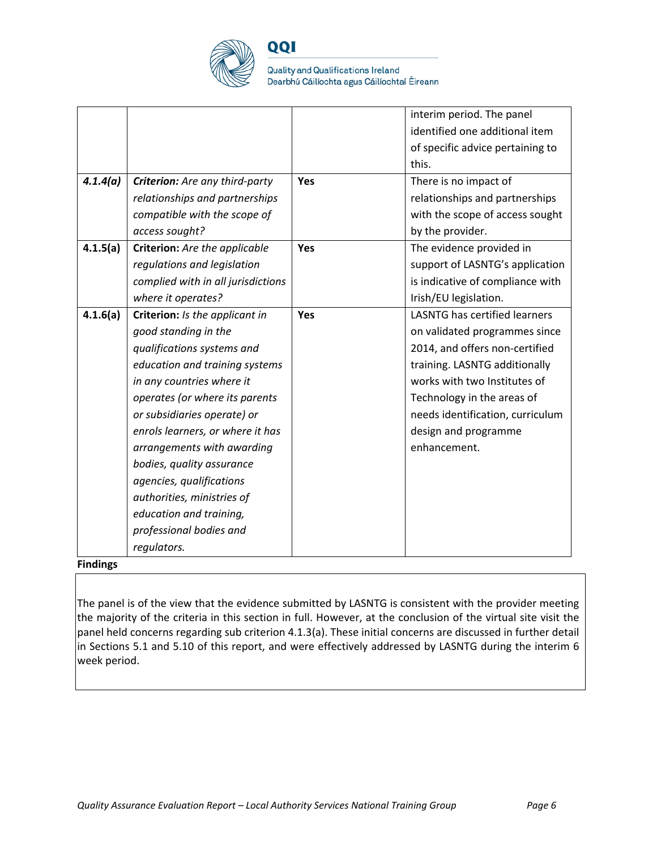

**Quality and Qualifications Ireland** Dearbhú Cáilíochta agus Cáilíochtaí Éireann

|          |                                       |            | interim period. The panel            |
|----------|---------------------------------------|------------|--------------------------------------|
|          |                                       |            | identified one additional item       |
|          |                                       |            | of specific advice pertaining to     |
|          |                                       |            | this.                                |
| 4.1.4(a) | <b>Criterion:</b> Are any third-party | <b>Yes</b> | There is no impact of                |
|          | relationships and partnerships        |            | relationships and partnerships       |
|          | compatible with the scope of          |            | with the scope of access sought      |
|          | access sought?                        |            | by the provider.                     |
| 4.1.5(a) | Criterion: Are the applicable         | Yes        | The evidence provided in             |
|          | regulations and legislation           |            | support of LASNTG's application      |
|          | complied with in all jurisdictions    |            | is indicative of compliance with     |
|          | where it operates?                    |            | Irish/EU legislation.                |
| 4.1.6(a) | Criterion: Is the applicant in        | Yes        | <b>LASNTG has certified learners</b> |
|          | good standing in the                  |            | on validated programmes since        |
|          | qualifications systems and            |            | 2014, and offers non-certified       |
|          | education and training systems        |            | training. LASNTG additionally        |
|          | in any countries where it             |            | works with two Institutes of         |
|          | operates (or where its parents        |            | Technology in the areas of           |
|          | or subsidiaries operate) or           |            | needs identification, curriculum     |
|          | enrols learners, or where it has      |            | design and programme                 |
|          | arrangements with awarding            |            | enhancement.                         |
|          | bodies, quality assurance             |            |                                      |
|          | agencies, qualifications              |            |                                      |
|          | authorities, ministries of            |            |                                      |
|          | education and training,               |            |                                      |
|          | professional bodies and               |            |                                      |
|          | regulators.                           |            |                                      |

**Findings**

The panel is of the view that the evidence submitted by LASNTG is consistent with the provider meeting the majority of the criteria in this section in full. However, at the conclusion of the virtual site visit the panel held concerns regarding sub criterion 4.1.3(a). These initial concerns are discussed in further detail in Sections 5.1 and 5.10 of this report, and were effectively addressed by LASNTG during the interim 6 week period.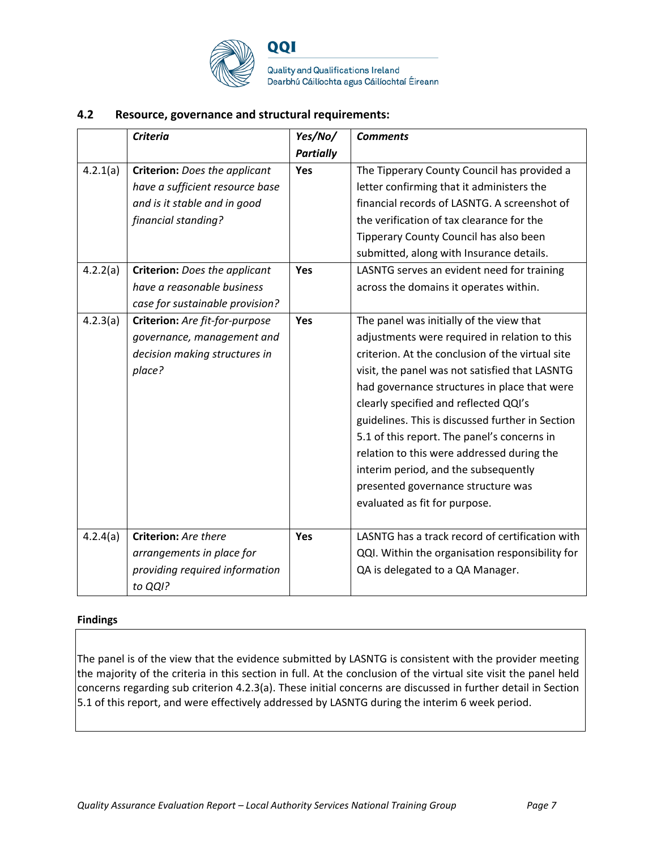

**Quality and Qualifications Ireland** Dearbhú Cáilíochta agus Cáilíochtaí Éireann

### **4.2 Resource, governance and structural requirements:**

|          | <b>Criteria</b>                      | Yes/No/          | <b>Comments</b>                                  |
|----------|--------------------------------------|------------------|--------------------------------------------------|
|          |                                      | <b>Partially</b> |                                                  |
| 4.2.1(a) | <b>Criterion:</b> Does the applicant | Yes              | The Tipperary County Council has provided a      |
|          | have a sufficient resource base      |                  | letter confirming that it administers the        |
|          | and is it stable and in good         |                  | financial records of LASNTG. A screenshot of     |
|          | financial standing?                  |                  | the verification of tax clearance for the        |
|          |                                      |                  | Tipperary County Council has also been           |
|          |                                      |                  | submitted, along with Insurance details.         |
| 4.2.2(a) | <b>Criterion:</b> Does the applicant | <b>Yes</b>       | LASNTG serves an evident need for training       |
|          | have a reasonable business           |                  | across the domains it operates within.           |
|          | case for sustainable provision?      |                  |                                                  |
| 4.2.3(a) | Criterion: Are fit-for-purpose       | Yes              | The panel was initially of the view that         |
|          | governance, management and           |                  | adjustments were required in relation to this    |
|          | decision making structures in        |                  | criterion. At the conclusion of the virtual site |
|          | place?                               |                  | visit, the panel was not satisfied that LASNTG   |
|          |                                      |                  | had governance structures in place that were     |
|          |                                      |                  | clearly specified and reflected QQI's            |
|          |                                      |                  | guidelines. This is discussed further in Section |
|          |                                      |                  | 5.1 of this report. The panel's concerns in      |
|          |                                      |                  | relation to this were addressed during the       |
|          |                                      |                  | interim period, and the subsequently             |
|          |                                      |                  | presented governance structure was               |
|          |                                      |                  | evaluated as fit for purpose.                    |
|          |                                      |                  |                                                  |
| 4.2.4(a) | Criterion: Are there                 | Yes              | LASNTG has a track record of certification with  |
|          | arrangements in place for            |                  | QQI. Within the organisation responsibility for  |
|          | providing required information       |                  | QA is delegated to a QA Manager.                 |
|          | to QQI?                              |                  |                                                  |

### **Findings**

The panel is of the view that the evidence submitted by LASNTG is consistent with the provider meeting the majority of the criteria in this section in full. At the conclusion of the virtual site visit the panel held concerns regarding sub criterion 4.2.3(a). These initial concerns are discussed in further detail in Section 5.1 of this report, and were effectively addressed by LASNTG during the interim 6 week period.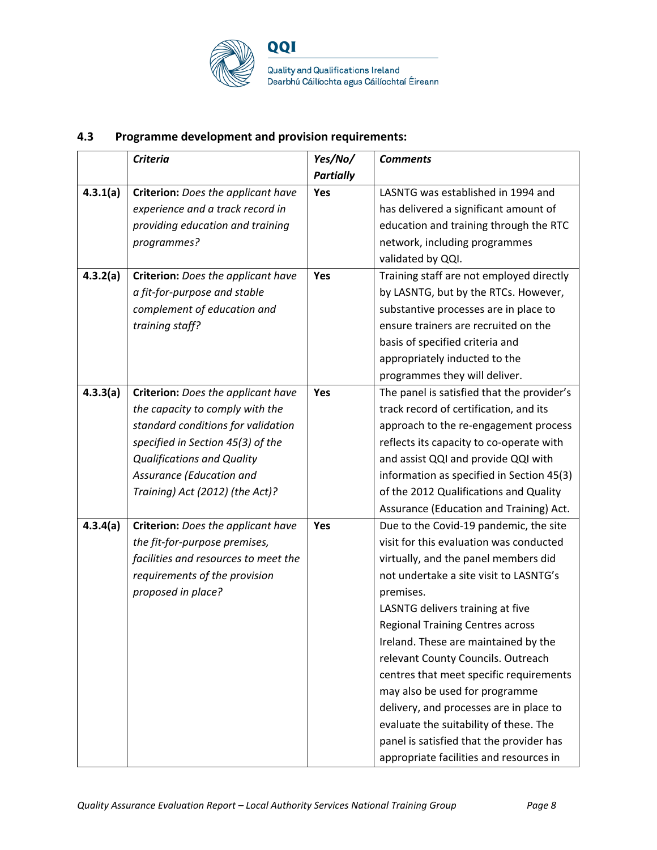

## **4.3 Programme development and provision requirements:**

|          | <b>Criteria</b>                      | Yes/No/          | <b>Comments</b>                            |
|----------|--------------------------------------|------------------|--------------------------------------------|
|          |                                      | <b>Partially</b> |                                            |
| 4.3.1(a) | Criterion: Does the applicant have   | Yes              | LASNTG was established in 1994 and         |
|          | experience and a track record in     |                  | has delivered a significant amount of      |
|          | providing education and training     |                  | education and training through the RTC     |
|          | programmes?                          |                  | network, including programmes              |
|          |                                      |                  | validated by QQI.                          |
| 4.3.2(a) | Criterion: Does the applicant have   | Yes              | Training staff are not employed directly   |
|          | a fit-for-purpose and stable         |                  | by LASNTG, but by the RTCs. However,       |
|          | complement of education and          |                  | substantive processes are in place to      |
|          | training staff?                      |                  | ensure trainers are recruited on the       |
|          |                                      |                  | basis of specified criteria and            |
|          |                                      |                  | appropriately inducted to the              |
|          |                                      |                  | programmes they will deliver.              |
| 4.3.3(a) | Criterion: Does the applicant have   | Yes              | The panel is satisfied that the provider's |
|          | the capacity to comply with the      |                  | track record of certification, and its     |
|          | standard conditions for validation   |                  | approach to the re-engagement process      |
|          | specified in Section 45(3) of the    |                  | reflects its capacity to co-operate with   |
|          | <b>Qualifications and Quality</b>    |                  | and assist QQI and provide QQI with        |
|          | Assurance (Education and             |                  | information as specified in Section 45(3)  |
|          | Training) Act (2012) (the Act)?      |                  | of the 2012 Qualifications and Quality     |
|          |                                      |                  | Assurance (Education and Training) Act.    |
| 4.3.4(a) | Criterion: Does the applicant have   | Yes              | Due to the Covid-19 pandemic, the site     |
|          | the fit-for-purpose premises,        |                  | visit for this evaluation was conducted    |
|          | facilities and resources to meet the |                  | virtually, and the panel members did       |
|          | requirements of the provision        |                  | not undertake a site visit to LASNTG's     |
|          | proposed in place?                   |                  | premises.                                  |
|          |                                      |                  | LASNTG delivers training at five           |
|          |                                      |                  | <b>Regional Training Centres across</b>    |
|          |                                      |                  | Ireland. These are maintained by the       |
|          |                                      |                  | relevant County Councils. Outreach         |
|          |                                      |                  | centres that meet specific requirements    |
|          |                                      |                  | may also be used for programme             |
|          |                                      |                  | delivery, and processes are in place to    |
|          |                                      |                  | evaluate the suitability of these. The     |
|          |                                      |                  | panel is satisfied that the provider has   |
|          |                                      |                  | appropriate facilities and resources in    |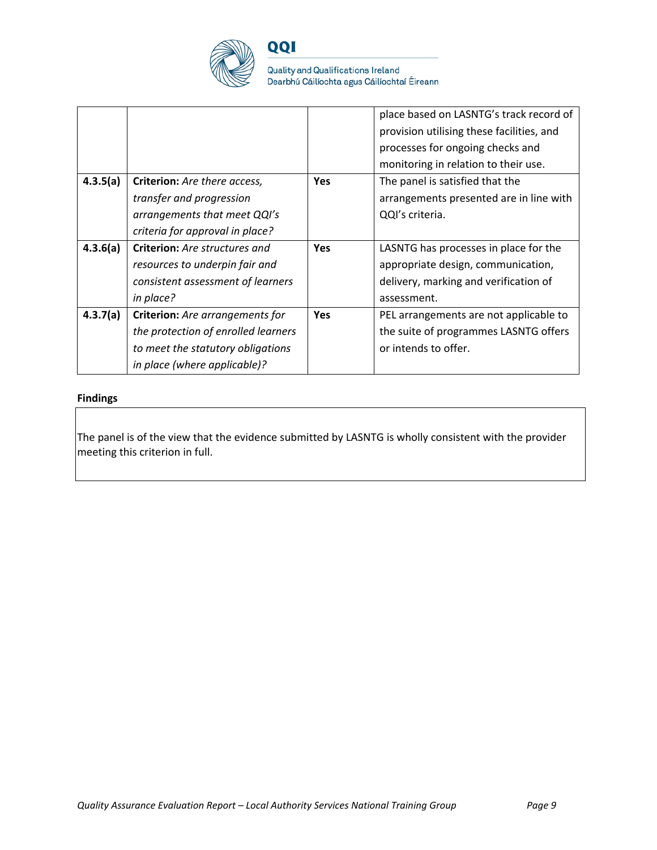

Quality and Qualifications Ireland<br>Dearbhú Cáilíochta agus Cáilíochtaí Éireann

|          |                                        |            | place based on LASNTG's track record of   |
|----------|----------------------------------------|------------|-------------------------------------------|
|          |                                        |            | provision utilising these facilities, and |
|          |                                        |            | processes for ongoing checks and          |
|          |                                        |            | monitoring in relation to their use.      |
| 4.3.5(a) | <b>Criterion:</b> Are there access,    | <b>Yes</b> | The panel is satisfied that the           |
|          | transfer and progression               |            | arrangements presented are in line with   |
|          | arrangements that meet QQI's           |            | QQI's criteria.                           |
|          | criteria for approval in place?        |            |                                           |
| 4.3.6(a) | <b>Criterion:</b> Are structures and   | <b>Yes</b> | LASNTG has processes in place for the     |
|          | resources to underpin fair and         |            | appropriate design, communication,        |
|          | consistent assessment of learners      |            | delivery, marking and verification of     |
|          | in place?                              |            | assessment.                               |
| 4.3.7(a) | <b>Criterion:</b> Are arrangements for | <b>Yes</b> | PEL arrangements are not applicable to    |
|          | the protection of enrolled learners    |            | the suite of programmes LASNTG offers     |
|          | to meet the statutory obligations      |            | or intends to offer.                      |
|          | in place (where applicable)?           |            |                                           |

#### **Findings**

The panel is of the view that the evidence submitted by LASNTG is wholly consistent with the provider meeting this criterion in full.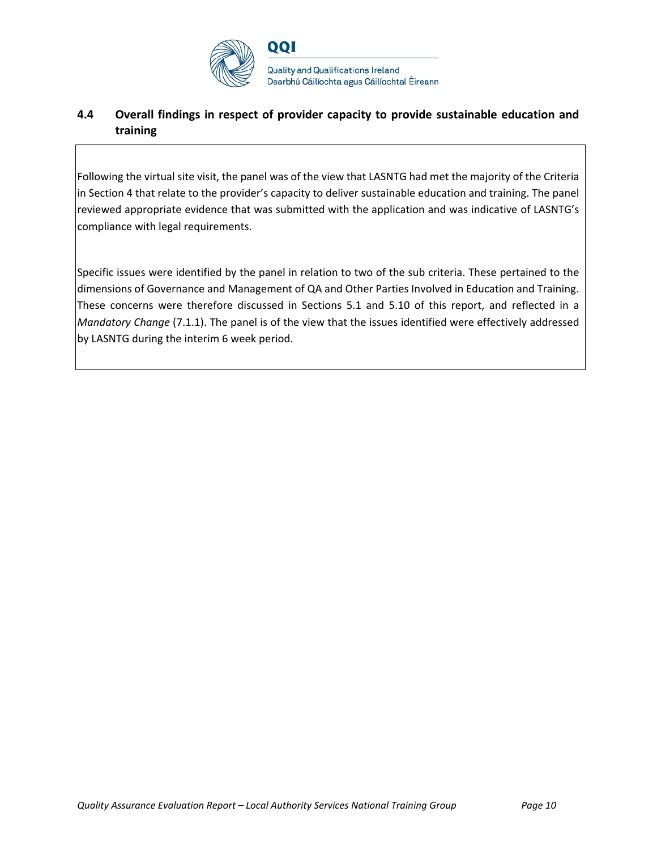

## **4.4 Overall findings in respect of provider capacity to provide sustainable education and training**

Following the virtual site visit, the panel was of the view that LASNTG had met the majority of the Criteria in Section 4 that relate to the provider's capacity to deliver sustainable education and training. The panel reviewed appropriate evidence that was submitted with the application and was indicative of LASNTG's compliance with legal requirements.

Specific issues were identified by the panel in relation to two of the sub criteria. These pertained to the dimensions of Governance and Management of QA and Other Parties Involved in Education and Training. These concerns were therefore discussed in Sections 5.1 and 5.10 of this report, and reflected in a *Mandatory Change* (7.1.1). The panel is of the view that the issues identified were effectively addressed by LASNTG during the interim 6 week period.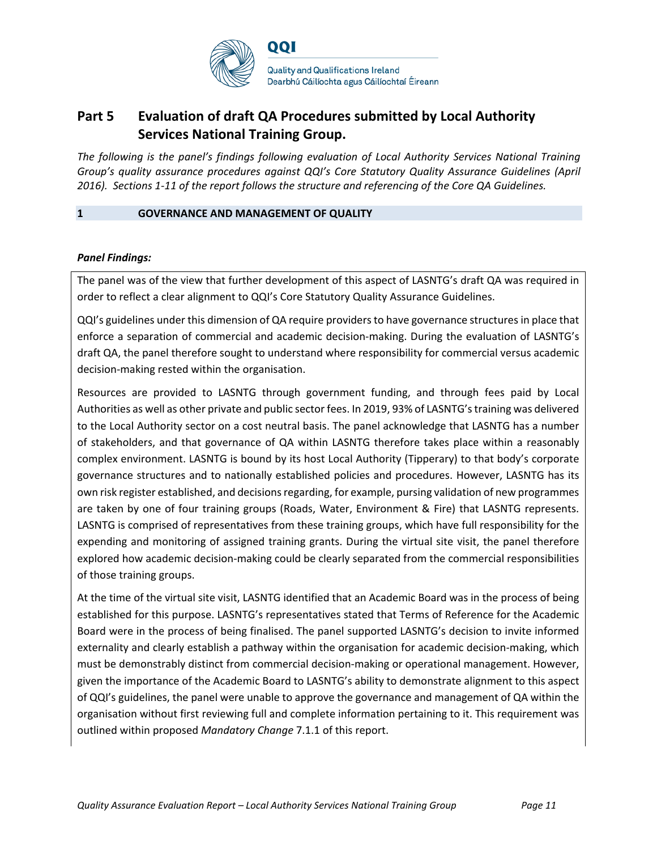

## **Part 5 Evaluation of draft QA Procedures submitted by Local Authority Services National Training Group.**

*The following is the panel's findings following evaluation of Local Authority Services National Training Group's quality assurance procedures against QQI's Core Statutory Quality Assurance Guidelines (April 2016). Sections 1-11 of the report follows the structure and referencing of the Core QA Guidelines.* 

#### **1 GOVERNANCE AND MANAGEMENT OF QUALITY**

#### *Panel Findings:*

The panel was of the view that further development of this aspect of LASNTG's draft QA was required in order to reflect a clear alignment to QQI's Core Statutory Quality Assurance Guidelines.

QQI's guidelines under this dimension of QA require providers to have governance structures in place that enforce a separation of commercial and academic decision-making. During the evaluation of LASNTG's draft QA, the panel therefore sought to understand where responsibility for commercial versus academic decision-making rested within the organisation.

Resources are provided to LASNTG through government funding, and through fees paid by Local Authorities as well as other private and public sector fees. In 2019, 93% of LASNTG's training was delivered to the Local Authority sector on a cost neutral basis. The panel acknowledge that LASNTG has a number of stakeholders, and that governance of QA within LASNTG therefore takes place within a reasonably complex environment. LASNTG is bound by its host Local Authority (Tipperary) to that body's corporate governance structures and to nationally established policies and procedures. However, LASNTG has its own risk register established, and decisions regarding, for example, pursing validation of new programmes are taken by one of four training groups (Roads, Water, Environment & Fire) that LASNTG represents. LASNTG is comprised of representatives from these training groups, which have full responsibility for the expending and monitoring of assigned training grants. During the virtual site visit, the panel therefore explored how academic decision-making could be clearly separated from the commercial responsibilities of those training groups.

At the time of the virtual site visit, LASNTG identified that an Academic Board was in the process of being established for this purpose. LASNTG's representatives stated that Terms of Reference for the Academic Board were in the process of being finalised. The panel supported LASNTG's decision to invite informed externality and clearly establish a pathway within the organisation for academic decision-making, which must be demonstrably distinct from commercial decision-making or operational management. However, given the importance of the Academic Board to LASNTG's ability to demonstrate alignment to this aspect of QQI's guidelines, the panel were unable to approve the governance and management of QA within the organisation without first reviewing full and complete information pertaining to it. This requirement was outlined within proposed *Mandatory Change* 7.1.1 of this report.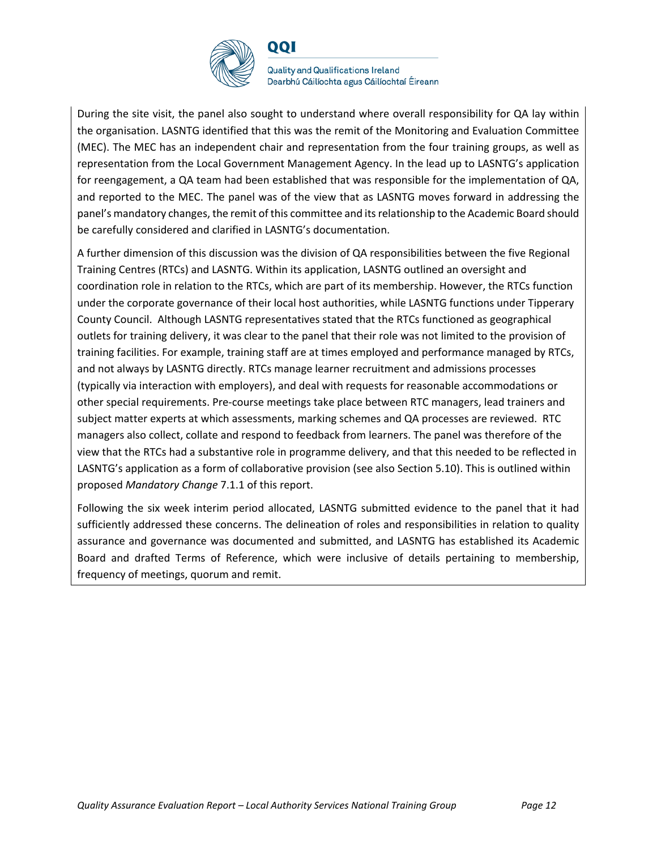

**Quality and Qualifications Ireland** Dearbhú Cáilíochta agus Cáilíochtaí Éireann

During the site visit, the panel also sought to understand where overall responsibility for QA lay within the organisation. LASNTG identified that this was the remit of the Monitoring and Evaluation Committee (MEC). The MEC has an independent chair and representation from the four training groups, as well as representation from the Local Government Management Agency. In the lead up to LASNTG's application for reengagement, a QA team had been established that was responsible for the implementation of QA, and reported to the MEC. The panel was of the view that as LASNTG moves forward in addressing the panel's mandatory changes, the remit of this committee and its relationship to the Academic Board should be carefully considered and clarified in LASNTG's documentation.

A further dimension of this discussion was the division of QA responsibilities between the five Regional Training Centres (RTCs) and LASNTG. Within its application, LASNTG outlined an oversight and coordination role in relation to the RTCs, which are part of its membership. However, the RTCs function under the corporate governance of their local host authorities, while LASNTG functions under Tipperary County Council. Although LASNTG representatives stated that the RTCs functioned as geographical outlets for training delivery, it was clear to the panel that their role was not limited to the provision of training facilities. For example, training staff are at times employed and performance managed by RTCs, and not always by LASNTG directly. RTCs manage learner recruitment and admissions processes (typically via interaction with employers), and deal with requests for reasonable accommodations or other special requirements. Pre-course meetings take place between RTC managers, lead trainers and subject matter experts at which assessments, marking schemes and QA processes are reviewed. RTC managers also collect, collate and respond to feedback from learners. The panel was therefore of the view that the RTCs had a substantive role in programme delivery, and that this needed to be reflected in LASNTG's application as a form of collaborative provision (see also Section 5.10). This is outlined within proposed *Mandatory Change* 7.1.1 of this report.

Following the six week interim period allocated, LASNTG submitted evidence to the panel that it had sufficiently addressed these concerns. The delineation of roles and responsibilities in relation to quality assurance and governance was documented and submitted, and LASNTG has established its Academic Board and drafted Terms of Reference, which were inclusive of details pertaining to membership, frequency of meetings, quorum and remit.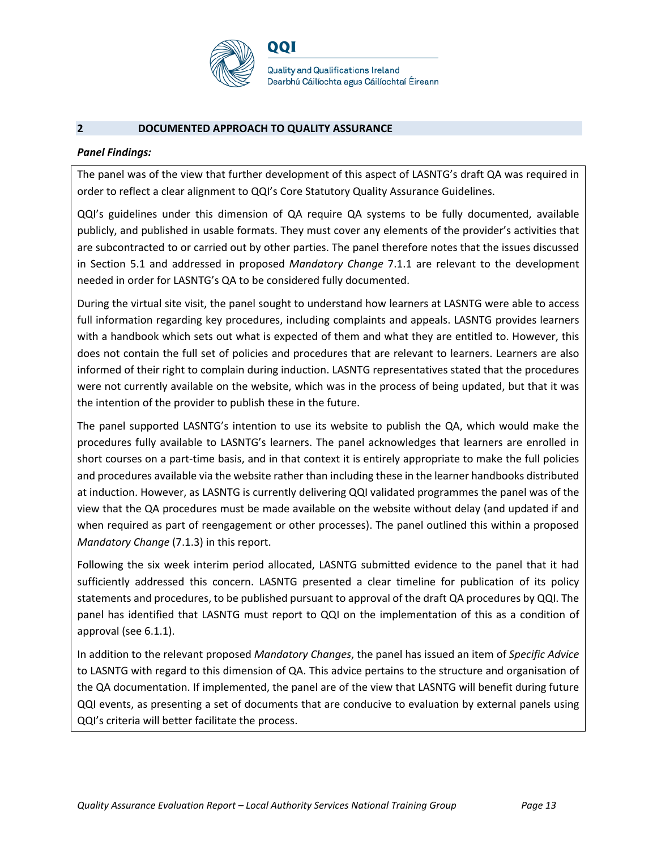

#### **2 DOCUMENTED APPROACH TO QUALITY ASSURANCE**

#### *Panel Findings:*

The panel was of the view that further development of this aspect of LASNTG's draft QA was required in order to reflect a clear alignment to QQI's Core Statutory Quality Assurance Guidelines.

QQI's guidelines under this dimension of QA require QA systems to be fully documented, available publicly, and published in usable formats. They must cover any elements of the provider's activities that are subcontracted to or carried out by other parties. The panel therefore notes that the issues discussed in Section 5.1 and addressed in proposed *Mandatory Change* 7.1.1 are relevant to the development needed in order for LASNTG's QA to be considered fully documented.

During the virtual site visit, the panel sought to understand how learners at LASNTG were able to access full information regarding key procedures, including complaints and appeals. LASNTG provides learners with a handbook which sets out what is expected of them and what they are entitled to. However, this does not contain the full set of policies and procedures that are relevant to learners. Learners are also informed of their right to complain during induction. LASNTG representatives stated that the procedures were not currently available on the website, which was in the process of being updated, but that it was the intention of the provider to publish these in the future.

The panel supported LASNTG's intention to use its website to publish the QA, which would make the procedures fully available to LASNTG's learners. The panel acknowledges that learners are enrolled in short courses on a part-time basis, and in that context it is entirely appropriate to make the full policies and procedures available via the website rather than including these in the learner handbooks distributed at induction. However, as LASNTG is currently delivering QQI validated programmes the panel was of the view that the QA procedures must be made available on the website without delay (and updated if and when required as part of reengagement or other processes). The panel outlined this within a proposed *Mandatory Change* (7.1.3) in this report.

Following the six week interim period allocated, LASNTG submitted evidence to the panel that it had sufficiently addressed this concern. LASNTG presented a clear timeline for publication of its policy statements and procedures, to be published pursuant to approval of the draft QA procedures by QQI. The panel has identified that LASNTG must report to QQI on the implementation of this as a condition of approval (see 6.1.1).

In addition to the relevant proposed *Mandatory Changes*, the panel has issued an item of *Specific Advice* to LASNTG with regard to this dimension of QA. This advice pertains to the structure and organisation of the QA documentation. If implemented, the panel are of the view that LASNTG will benefit during future QQI events, as presenting a set of documents that are conducive to evaluation by external panels using QQI's criteria will better facilitate the process.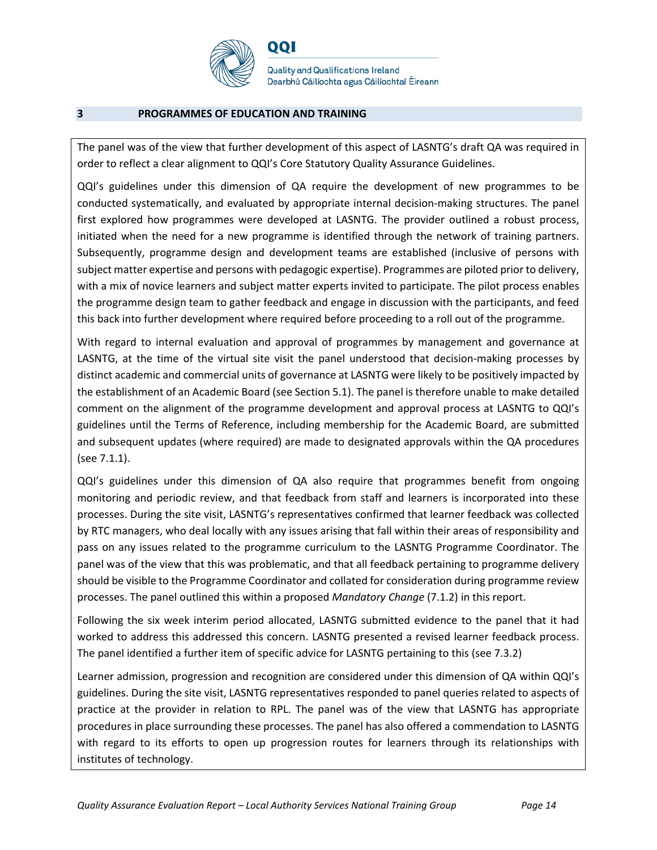

**Quality and Qualifications Ireland** Dearbhú Cáilíochta agus Cáilíochtaí Éireann

#### **3 PROGRAMMES OF EDUCATION AND TRAINING**

The panel was of the view that further development of this aspect of LASNTG's draft QA was required in order to reflect a clear alignment to QQI's Core Statutory Quality Assurance Guidelines.

QQI's guidelines under this dimension of QA require the development of new programmes to be conducted systematically, and evaluated by appropriate internal decision-making structures. The panel first explored how programmes were developed at LASNTG. The provider outlined a robust process, initiated when the need for a new programme is identified through the network of training partners. Subsequently, programme design and development teams are established (inclusive of persons with subject matter expertise and persons with pedagogic expertise). Programmes are piloted prior to delivery, with a mix of novice learners and subject matter experts invited to participate. The pilot process enables the programme design team to gather feedback and engage in discussion with the participants, and feed this back into further development where required before proceeding to a roll out of the programme.

With regard to internal evaluation and approval of programmes by management and governance at LASNTG, at the time of the virtual site visit the panel understood that decision-making processes by distinct academic and commercial units of governance at LASNTG were likely to be positively impacted by the establishment of an Academic Board (see Section 5.1). The panel is therefore unable to make detailed comment on the alignment of the programme development and approval process at LASNTG to QQI's guidelines until the Terms of Reference, including membership for the Academic Board, are submitted and subsequent updates (where required) are made to designated approvals within the QA procedures (see 7.1.1).

QQI's guidelines under this dimension of QA also require that programmes benefit from ongoing monitoring and periodic review, and that feedback from staff and learners is incorporated into these processes. During the site visit, LASNTG's representatives confirmed that learner feedback was collected by RTC managers, who deal locally with any issues arising that fall within their areas of responsibility and pass on any issues related to the programme curriculum to the LASNTG Programme Coordinator. The panel was of the view that this was problematic, and that all feedback pertaining to programme delivery should be visible to the Programme Coordinator and collated for consideration during programme review processes. The panel outlined this within a proposed *Mandatory Change* (7.1.2) in this report.

Following the six week interim period allocated, LASNTG submitted evidence to the panel that it had worked to address this addressed this concern. LASNTG presented a revised learner feedback process. The panel identified a further item of specific advice for LASNTG pertaining to this (see 7.3.2)

Learner admission, progression and recognition are considered under this dimension of QA within QQI's guidelines. During the site visit, LASNTG representatives responded to panel queries related to aspects of practice at the provider in relation to RPL. The panel was of the view that LASNTG has appropriate procedures in place surrounding these processes. The panel has also offered a commendation to LASNTG with regard to its efforts to open up progression routes for learners through its relationships with institutes of technology.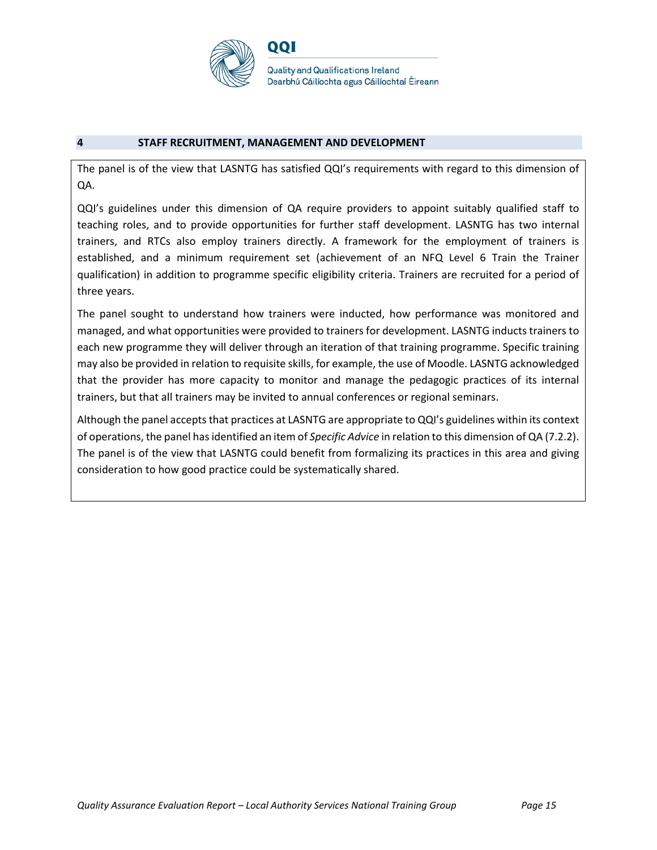

### **4 STAFF RECRUITMENT, MANAGEMENT AND DEVELOPMENT**

The panel is of the view that LASNTG has satisfied QQI's requirements with regard to this dimension of QA.

QQI's guidelines under this dimension of QA require providers to appoint suitably qualified staff to teaching roles, and to provide opportunities for further staff development. LASNTG has two internal trainers, and RTCs also employ trainers directly. A framework for the employment of trainers is established, and a minimum requirement set (achievement of an NFQ Level 6 Train the Trainer qualification) in addition to programme specific eligibility criteria. Trainers are recruited for a period of three years.

The panel sought to understand how trainers were inducted, how performance was monitored and managed, and what opportunities were provided to trainers for development. LASNTG inducts trainers to each new programme they will deliver through an iteration of that training programme. Specific training may also be provided in relation to requisite skills, for example, the use of Moodle. LASNTG acknowledged that the provider has more capacity to monitor and manage the pedagogic practices of its internal trainers, but that all trainers may be invited to annual conferences or regional seminars.

Although the panel accepts that practices at LASNTG are appropriate to QQI's guidelines within its context of operations, the panel has identified an item of *Specific Advice* in relation to this dimension of QA (7.2.2). The panel is of the view that LASNTG could benefit from formalizing its practices in this area and giving consideration to how good practice could be systematically shared.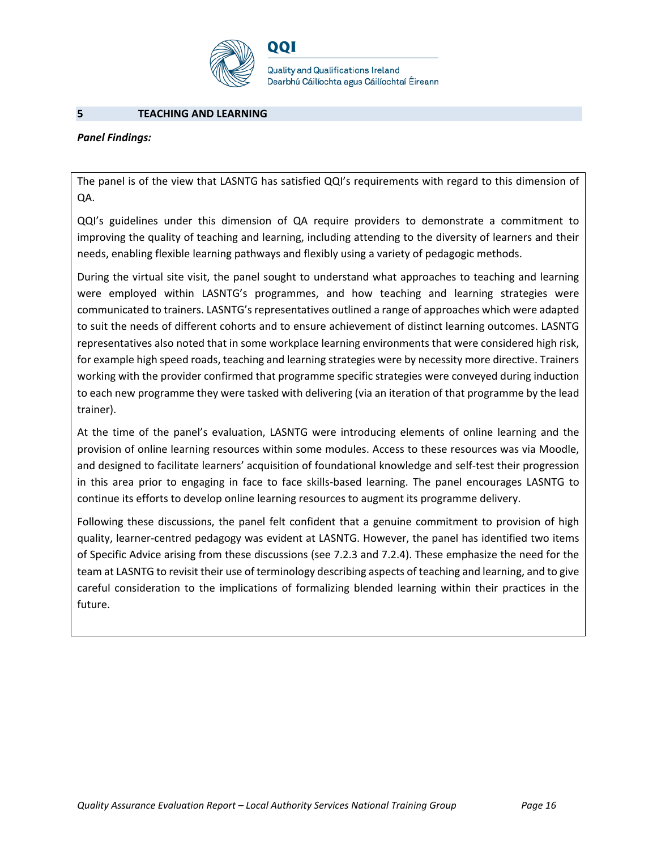

**Quality and Qualifications Ireland** Dearbhú Cáilíochta agus Cáilíochtaí Éireann

#### **5 TEACHING AND LEARNING**

#### *Panel Findings:*

The panel is of the view that LASNTG has satisfied QQI's requirements with regard to this dimension of QA.

QQI's guidelines under this dimension of QA require providers to demonstrate a commitment to improving the quality of teaching and learning, including attending to the diversity of learners and their needs, enabling flexible learning pathways and flexibly using a variety of pedagogic methods.

During the virtual site visit, the panel sought to understand what approaches to teaching and learning were employed within LASNTG's programmes, and how teaching and learning strategies were communicated to trainers. LASNTG's representatives outlined a range of approaches which were adapted to suit the needs of different cohorts and to ensure achievement of distinct learning outcomes. LASNTG representatives also noted that in some workplace learning environments that were considered high risk, for example high speed roads, teaching and learning strategies were by necessity more directive. Trainers working with the provider confirmed that programme specific strategies were conveyed during induction to each new programme they were tasked with delivering (via an iteration of that programme by the lead trainer).

At the time of the panel's evaluation, LASNTG were introducing elements of online learning and the provision of online learning resources within some modules. Access to these resources was via Moodle, and designed to facilitate learners' acquisition of foundational knowledge and self-test their progression in this area prior to engaging in face to face skills-based learning. The panel encourages LASNTG to continue its efforts to develop online learning resources to augment its programme delivery.

Following these discussions, the panel felt confident that a genuine commitment to provision of high quality, learner-centred pedagogy was evident at LASNTG. However, the panel has identified two items of Specific Advice arising from these discussions (see 7.2.3 and 7.2.4). These emphasize the need for the team at LASNTG to revisit their use of terminology describing aspects of teaching and learning, and to give careful consideration to the implications of formalizing blended learning within their practices in the future.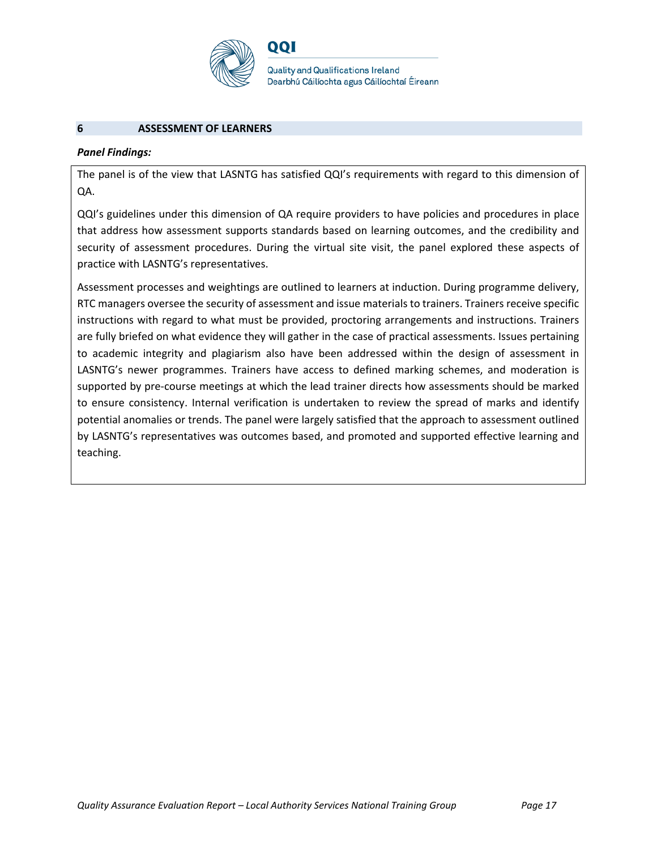

**Quality and Qualifications Ireland** Dearbhú Cáilíochta agus Cáilíochtaí Éireann

#### **6 ASSESSMENT OF LEARNERS**

#### *Panel Findings:*

The panel is of the view that LASNTG has satisfied QQI's requirements with regard to this dimension of QA.

QQI's guidelines under this dimension of QA require providers to have policies and procedures in place that address how assessment supports standards based on learning outcomes, and the credibility and security of assessment procedures. During the virtual site visit, the panel explored these aspects of practice with LASNTG's representatives.

Assessment processes and weightings are outlined to learners at induction. During programme delivery, RTC managers oversee the security of assessment and issue materials to trainers. Trainers receive specific instructions with regard to what must be provided, proctoring arrangements and instructions. Trainers are fully briefed on what evidence they will gather in the case of practical assessments. Issues pertaining to academic integrity and plagiarism also have been addressed within the design of assessment in LASNTG's newer programmes. Trainers have access to defined marking schemes, and moderation is supported by pre-course meetings at which the lead trainer directs how assessments should be marked to ensure consistency. Internal verification is undertaken to review the spread of marks and identify potential anomalies or trends. The panel were largely satisfied that the approach to assessment outlined by LASNTG's representatives was outcomes based, and promoted and supported effective learning and teaching.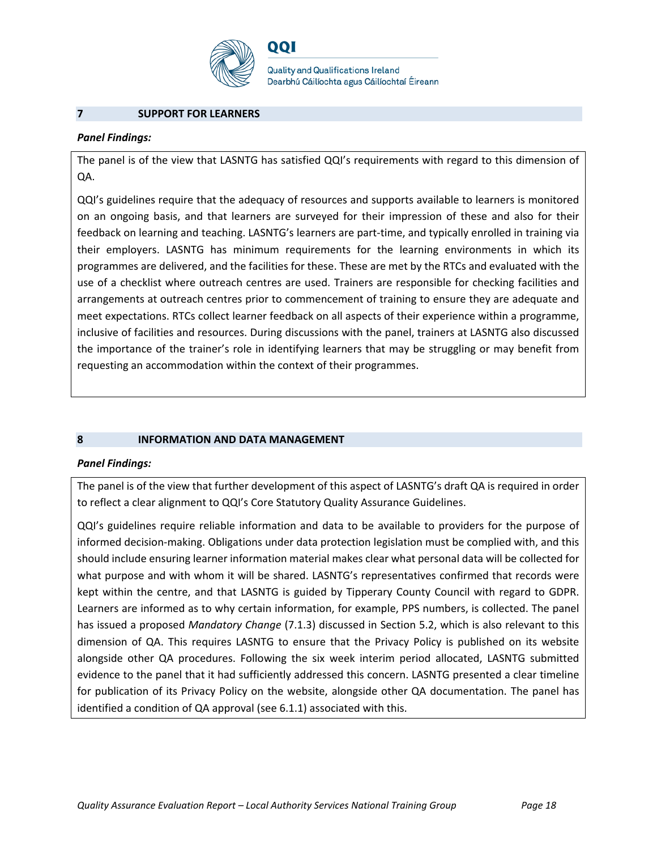

**Quality and Qualifications Ireland** Dearbhú Cáilíochta agus Cáilíochtaí Éireann

#### **7 SUPPORT FOR LEARNERS**

#### *Panel Findings:*

The panel is of the view that LASNTG has satisfied QQI's requirements with regard to this dimension of QA.

QQI's guidelines require that the adequacy of resources and supports available to learners is monitored on an ongoing basis, and that learners are surveyed for their impression of these and also for their feedback on learning and teaching. LASNTG's learners are part-time, and typically enrolled in training via their employers. LASNTG has minimum requirements for the learning environments in which its programmes are delivered, and the facilities for these. These are met by the RTCs and evaluated with the use of a checklist where outreach centres are used. Trainers are responsible for checking facilities and arrangements at outreach centres prior to commencement of training to ensure they are adequate and meet expectations. RTCs collect learner feedback on all aspects of their experience within a programme, inclusive of facilities and resources. During discussions with the panel, trainers at LASNTG also discussed the importance of the trainer's role in identifying learners that may be struggling or may benefit from requesting an accommodation within the context of their programmes.

### **8 INFORMATION AND DATA MANAGEMENT**

### *Panel Findings:*

The panel is of the view that further development of this aspect of LASNTG's draft QA is required in order to reflect a clear alignment to QQI's Core Statutory Quality Assurance Guidelines.

QQI's guidelines require reliable information and data to be available to providers for the purpose of informed decision-making. Obligations under data protection legislation must be complied with, and this should include ensuring learner information material makes clear what personal data will be collected for what purpose and with whom it will be shared. LASNTG's representatives confirmed that records were kept within the centre, and that LASNTG is guided by Tipperary County Council with regard to GDPR. Learners are informed as to why certain information, for example, PPS numbers, is collected. The panel has issued a proposed *Mandatory Change* (7.1.3) discussed in Section 5.2, which is also relevant to this dimension of QA. This requires LASNTG to ensure that the Privacy Policy is published on its website alongside other QA procedures. Following the six week interim period allocated, LASNTG submitted evidence to the panel that it had sufficiently addressed this concern. LASNTG presented a clear timeline for publication of its Privacy Policy on the website, alongside other QA documentation. The panel has identified a condition of QA approval (see 6.1.1) associated with this.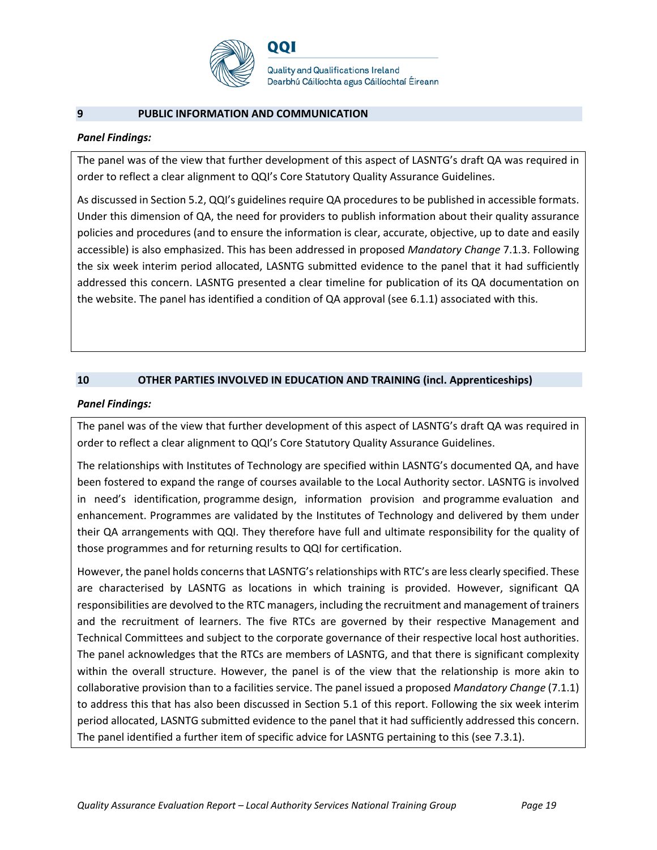

**Quality and Qualifications Ireland** Dearbhú Cáilíochta agus Cáilíochtaí Éireann

#### **9 PUBLIC INFORMATION AND COMMUNICATION**

#### *Panel Findings:*

The panel was of the view that further development of this aspect of LASNTG's draft QA was required in order to reflect a clear alignment to QQI's Core Statutory Quality Assurance Guidelines.

As discussed in Section 5.2, QQI's guidelines require QA procedures to be published in accessible formats. Under this dimension of QA, the need for providers to publish information about their quality assurance policies and procedures (and to ensure the information is clear, accurate, objective, up to date and easily accessible) is also emphasized. This has been addressed in proposed *Mandatory Change* 7.1.3. Following the six week interim period allocated, LASNTG submitted evidence to the panel that it had sufficiently addressed this concern. LASNTG presented a clear timeline for publication of its QA documentation on the website. The panel has identified a condition of QA approval (see 6.1.1) associated with this.

### **10 OTHER PARTIES INVOLVED IN EDUCATION AND TRAINING (incl. Apprenticeships)**

#### *Panel Findings:*

The panel was of the view that further development of this aspect of LASNTG's draft QA was required in order to reflect a clear alignment to QQI's Core Statutory Quality Assurance Guidelines.

The relationships with Institutes of Technology are specified within LASNTG's documented QA, and have been fostered to expand the range of courses available to the Local Authority sector. LASNTG is involved in need's identification, programme design, information provision and programme evaluation and enhancement. Programmes are validated by the Institutes of Technology and delivered by them under their QA arrangements with QQI. They therefore have full and ultimate responsibility for the quality of those programmes and for returning results to QQI for certification.

However, the panel holds concerns that LASNTG's relationships with RTC's are less clearly specified. These are characterised by LASNTG as locations in which training is provided. However, significant QA responsibilities are devolved to the RTC managers, including the recruitment and management of trainers and the recruitment of learners. The five RTCs are governed by their respective Management and Technical Committees and subject to the corporate governance of their respective local host authorities. The panel acknowledges that the RTCs are members of LASNTG, and that there is significant complexity within the overall structure. However, the panel is of the view that the relationship is more akin to collaborative provision than to a facilities service. The panel issued a proposed *Mandatory Change* (7.1.1) to address this that has also been discussed in Section 5.1 of this report. Following the six week interim period allocated, LASNTG submitted evidence to the panel that it had sufficiently addressed this concern. The panel identified a further item of specific advice for LASNTG pertaining to this (see 7.3.1).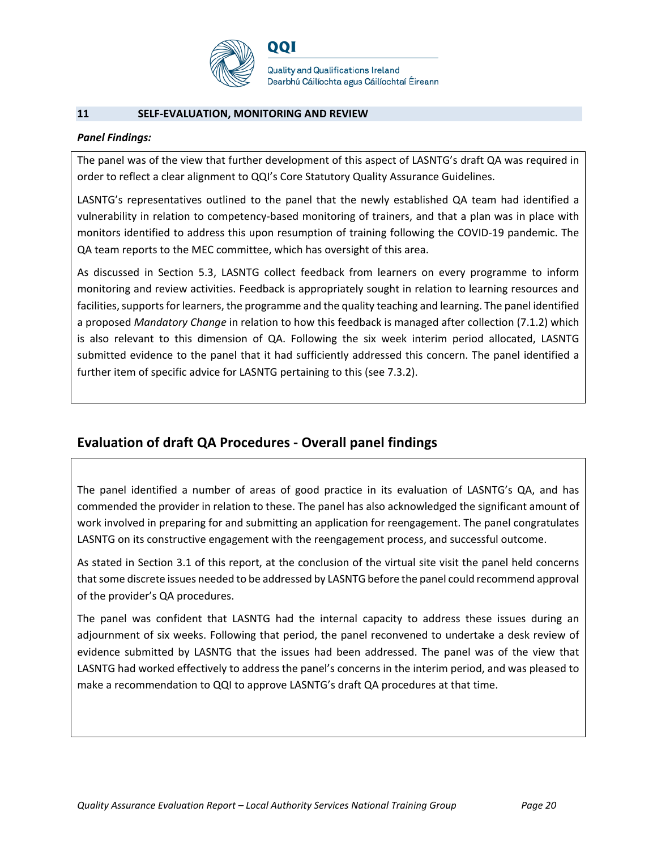

**Quality and Qualifications Ireland** Dearbhú Cáilíochta agus Cáilíochtaí Éireann

#### **11 SELF-EVALUATION, MONITORING AND REVIEW**

#### *Panel Findings:*

The panel was of the view that further development of this aspect of LASNTG's draft QA was required in order to reflect a clear alignment to QQI's Core Statutory Quality Assurance Guidelines.

LASNTG's representatives outlined to the panel that the newly established QA team had identified a vulnerability in relation to competency-based monitoring of trainers, and that a plan was in place with monitors identified to address this upon resumption of training following the COVID-19 pandemic. The QA team reports to the MEC committee, which has oversight of this area.

As discussed in Section 5.3, LASNTG collect feedback from learners on every programme to inform monitoring and review activities. Feedback is appropriately sought in relation to learning resources and facilities, supports for learners, the programme and the quality teaching and learning. The panel identified a proposed *Mandatory Change* in relation to how this feedback is managed after collection (7.1.2) which is also relevant to this dimension of QA. Following the six week interim period allocated, LASNTG submitted evidence to the panel that it had sufficiently addressed this concern. The panel identified a further item of specific advice for LASNTG pertaining to this (see 7.3.2).

## **Evaluation of draft QA Procedures - Overall panel findings**

The panel identified a number of areas of good practice in its evaluation of LASNTG's QA, and has commended the provider in relation to these. The panel has also acknowledged the significant amount of work involved in preparing for and submitting an application for reengagement. The panel congratulates LASNTG on its constructive engagement with the reengagement process, and successful outcome.

As stated in Section 3.1 of this report, at the conclusion of the virtual site visit the panel held concerns that some discrete issues needed to be addressed by LASNTG before the panel could recommend approval of the provider's QA procedures.

The panel was confident that LASNTG had the internal capacity to address these issues during an adjournment of six weeks. Following that period, the panel reconvened to undertake a desk review of evidence submitted by LASNTG that the issues had been addressed. The panel was of the view that LASNTG had worked effectively to address the panel's concerns in the interim period, and was pleased to make a recommendation to QQI to approve LASNTG's draft QA procedures at that time.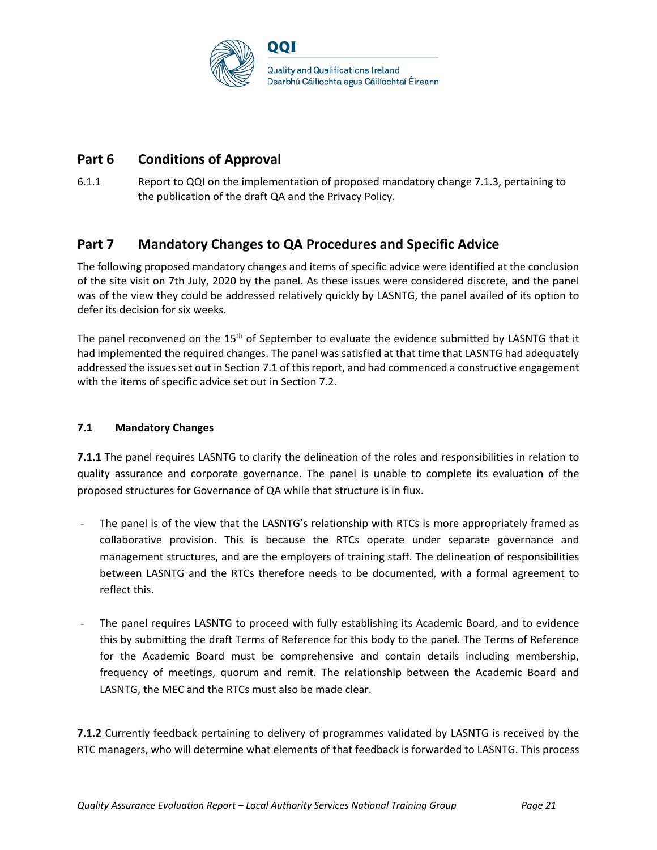

## **Part 6 Conditions of Approval**

6.1.1 Report to QQI on the implementation of proposed mandatory change 7.1.3, pertaining to the publication of the draft QA and the Privacy Policy.

## **Part 7 Mandatory Changes to QA Procedures and Specific Advice**

The following proposed mandatory changes and items of specific advice were identified at the conclusion of the site visit on 7th July, 2020 by the panel. As these issues were considered discrete, and the panel was of the view they could be addressed relatively quickly by LASNTG, the panel availed of its option to defer its decision for six weeks.

The panel reconvened on the 15<sup>th</sup> of September to evaluate the evidence submitted by LASNTG that it had implemented the required changes. The panel was satisfied at that time that LASNTG had adequately addressed the issues set out in Section 7.1 of this report, and had commenced a constructive engagement with the items of specific advice set out in Section 7.2.

### **7.1 Mandatory Changes**

**7.1.1** The panel requires LASNTG to clarify the delineation of the roles and responsibilities in relation to quality assurance and corporate governance. The panel is unable to complete its evaluation of the proposed structures for Governance of QA while that structure is in flux.

- The panel is of the view that the LASNTG's relationship with RTCs is more appropriately framed as collaborative provision. This is because the RTCs operate under separate governance and management structures, and are the employers of training staff. The delineation of responsibilities between LASNTG and the RTCs therefore needs to be documented, with a formal agreement to reflect this.
- The panel requires LASNTG to proceed with fully establishing its Academic Board, and to evidence this by submitting the draft Terms of Reference for this body to the panel. The Terms of Reference for the Academic Board must be comprehensive and contain details including membership, frequency of meetings, quorum and remit. The relationship between the Academic Board and LASNTG, the MEC and the RTCs must also be made clear.

**7.1.2** Currently feedback pertaining to delivery of programmes validated by LASNTG is received by the RTC managers, who will determine what elements of that feedback is forwarded to LASNTG. This process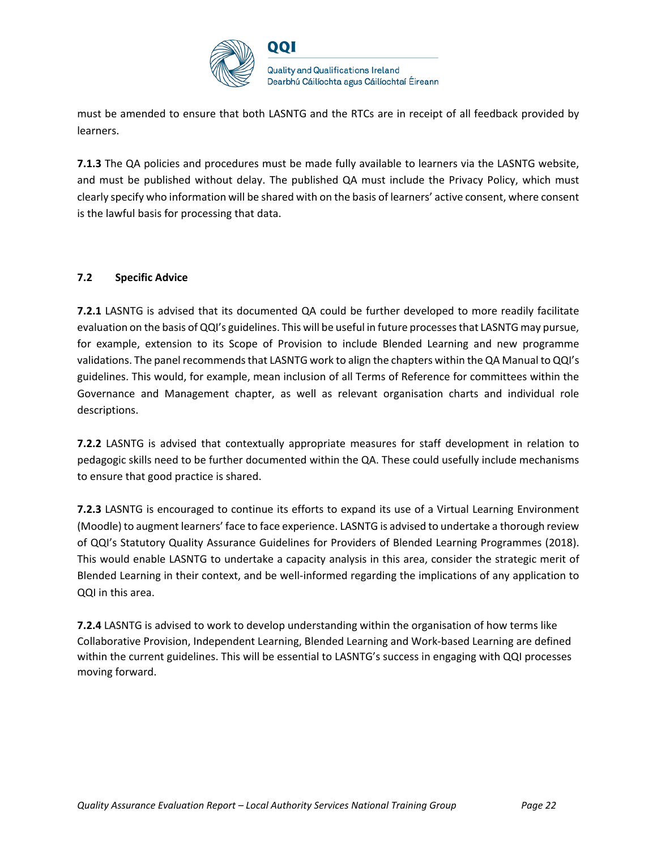

must be amended to ensure that both LASNTG and the RTCs are in receipt of all feedback provided by learners.

**7.1.3** The QA policies and procedures must be made fully available to learners via the LASNTG website, and must be published without delay. The published QA must include the Privacy Policy, which must clearly specify who information will be shared with on the basis of learners' active consent, where consent is the lawful basis for processing that data.

### **7.2 Specific Advice**

**7.2.1** LASNTG is advised that its documented QA could be further developed to more readily facilitate evaluation on the basis of QQI's guidelines. This will be useful in future processes that LASNTG may pursue, for example, extension to its Scope of Provision to include Blended Learning and new programme validations. The panel recommends that LASNTG work to align the chapters within the QA Manual to QQI's guidelines. This would, for example, mean inclusion of all Terms of Reference for committees within the Governance and Management chapter, as well as relevant organisation charts and individual role descriptions.

**7.2.2** LASNTG is advised that contextually appropriate measures for staff development in relation to pedagogic skills need to be further documented within the QA. These could usefully include mechanisms to ensure that good practice is shared.

**7.2.3** LASNTG is encouraged to continue its efforts to expand its use of a Virtual Learning Environment (Moodle) to augment learners' face to face experience. LASNTG is advised to undertake a thorough review of QQI's Statutory Quality Assurance Guidelines for Providers of Blended Learning Programmes (2018). This would enable LASNTG to undertake a capacity analysis in this area, consider the strategic merit of Blended Learning in their context, and be well-informed regarding the implications of any application to QQI in this area.

**7.2.4** LASNTG is advised to work to develop understanding within the organisation of how terms like Collaborative Provision, Independent Learning, Blended Learning and Work-based Learning are defined within the current guidelines. This will be essential to LASNTG's success in engaging with QQI processes moving forward.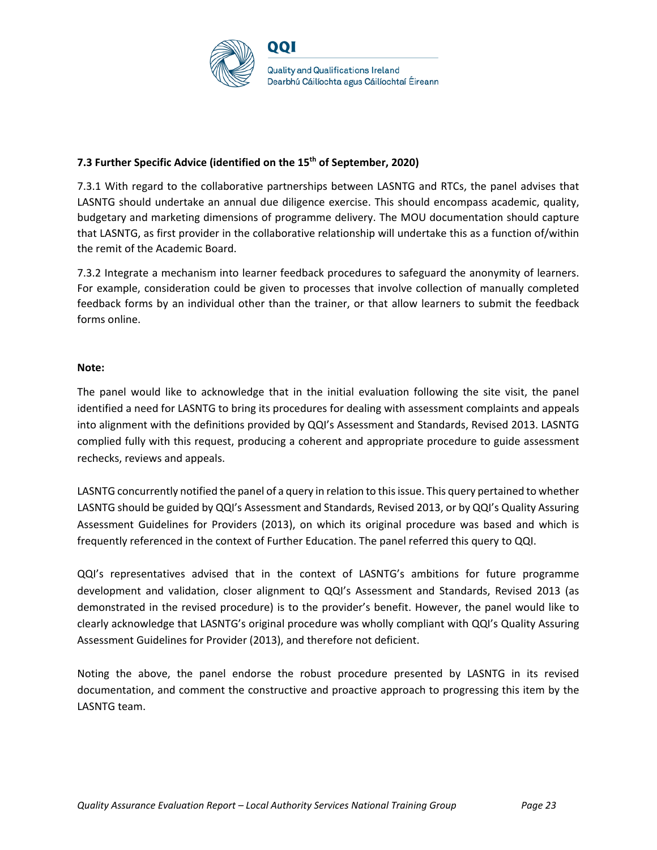

### **7.3 Further Specific Advice (identified on the 15th of September, 2020)**

7.3.1 With regard to the collaborative partnerships between LASNTG and RTCs, the panel advises that LASNTG should undertake an annual due diligence exercise. This should encompass academic, quality, budgetary and marketing dimensions of programme delivery. The MOU documentation should capture that LASNTG, as first provider in the collaborative relationship will undertake this as a function of/within the remit of the Academic Board.

7.3.2 Integrate a mechanism into learner feedback procedures to safeguard the anonymity of learners. For example, consideration could be given to processes that involve collection of manually completed feedback forms by an individual other than the trainer, or that allow learners to submit the feedback forms online.

#### **Note:**

The panel would like to acknowledge that in the initial evaluation following the site visit, the panel identified a need for LASNTG to bring its procedures for dealing with assessment complaints and appeals into alignment with the definitions provided by QQI's Assessment and Standards, Revised 2013. LASNTG complied fully with this request, producing a coherent and appropriate procedure to guide assessment rechecks, reviews and appeals.

LASNTG concurrently notified the panel of a query in relation to this issue. This query pertained to whether LASNTG should be guided by QQI's Assessment and Standards, Revised 2013, or by QQI's Quality Assuring Assessment Guidelines for Providers (2013), on which its original procedure was based and which is frequently referenced in the context of Further Education. The panel referred this query to QQI.

QQI's representatives advised that in the context of LASNTG's ambitions for future programme development and validation, closer alignment to QQI's Assessment and Standards, Revised 2013 (as demonstrated in the revised procedure) is to the provider's benefit. However, the panel would like to clearly acknowledge that LASNTG's original procedure was wholly compliant with QQI's Quality Assuring Assessment Guidelines for Provider (2013), and therefore not deficient.

Noting the above, the panel endorse the robust procedure presented by LASNTG in its revised documentation, and comment the constructive and proactive approach to progressing this item by the LASNTG team.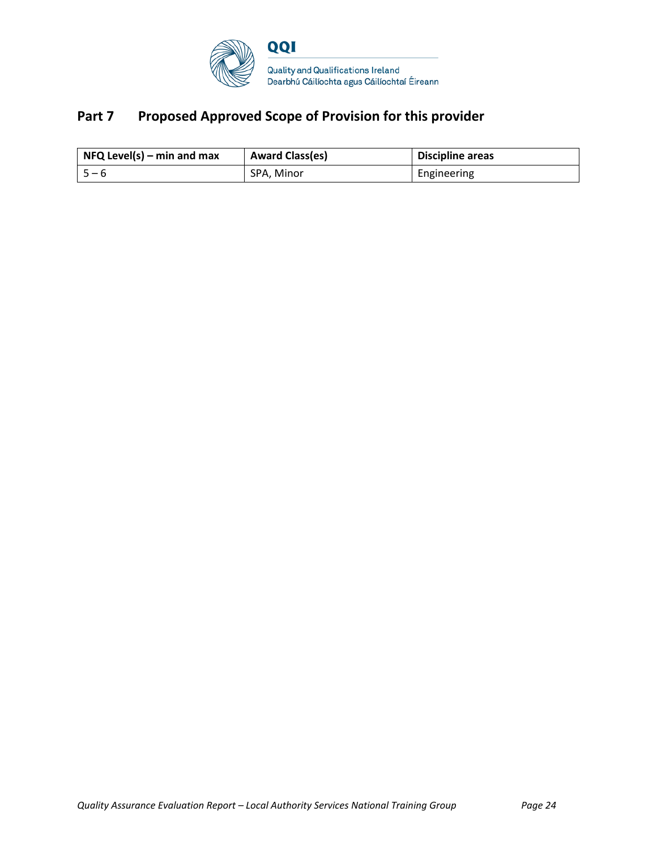

# Part 7 Proposed Approved Scope of Provision for this provider

| $\vert$ NFQ Level(s) – min and max | <b>Award Class(es)</b> | Discipline areas |
|------------------------------------|------------------------|------------------|
| $15 - 6$                           | SPA, Minor             | Engineering      |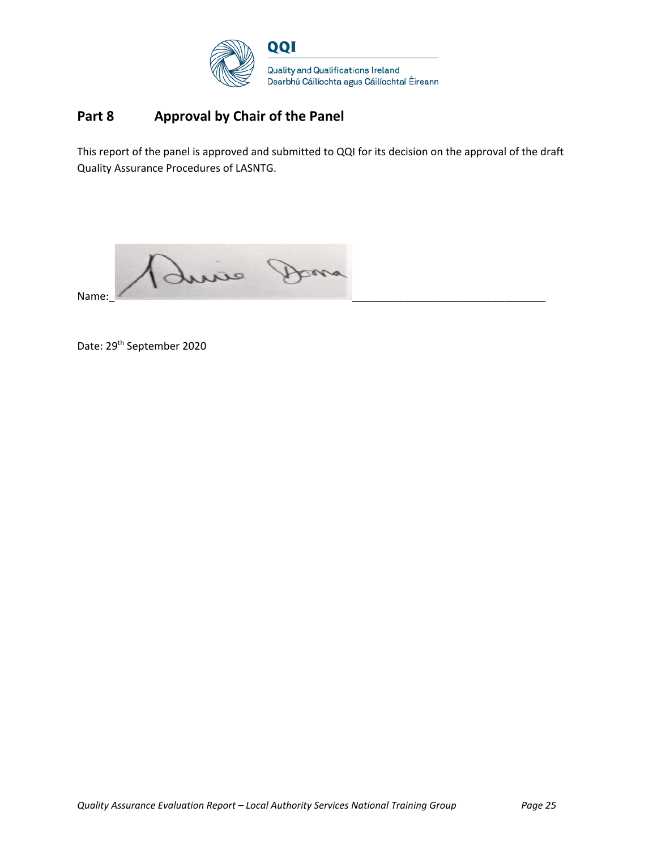

## **Part 8 Approval by Chair of the Panel**

This report of the panel is approved and submitted to QQI for its decision on the approval of the draft Quality Assurance Procedures of LASNTG.

Quie Doma Name:\_ \_\_\_\_\_\_\_\_\_\_\_\_\_\_\_\_\_\_\_\_\_\_\_\_\_\_\_\_\_\_\_\_\_

Date: 29<sup>th</sup> September 2020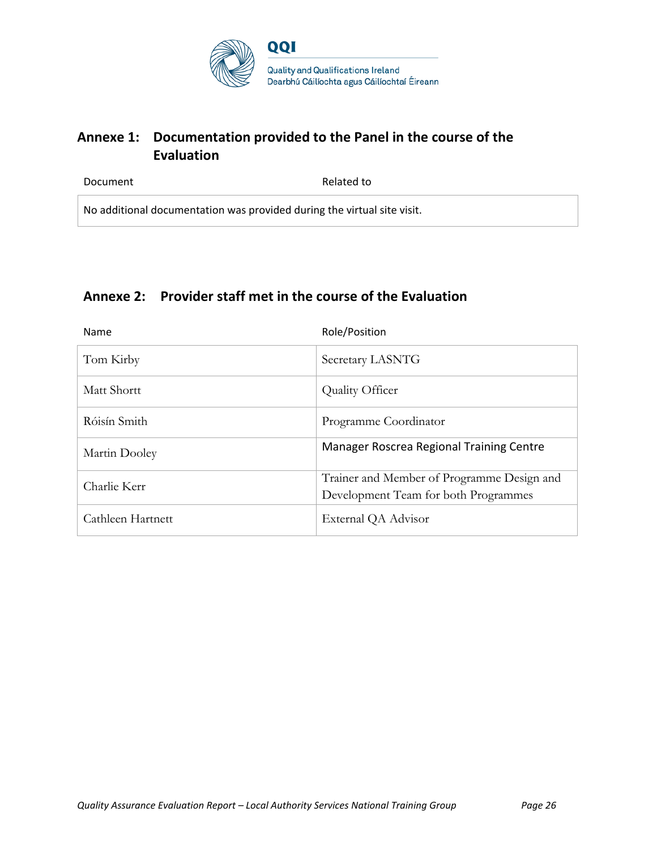

## **Annexe 1: Documentation provided to the Panel in the course of the Evaluation**

Document **Related to** No additional documentation was provided during the virtual site visit.

# **Annexe 2: Provider staff met in the course of the Evaluation**

| Name              | Role/Position                                                                      |
|-------------------|------------------------------------------------------------------------------------|
| Tom Kirby         | Secretary LASNTG                                                                   |
| Matt Shortt       | Quality Officer                                                                    |
| Róisín Smith      | Programme Coordinator                                                              |
| Martin Dooley     | Manager Roscrea Regional Training Centre                                           |
| Charlie Kerr      | Trainer and Member of Programme Design and<br>Development Team for both Programmes |
| Cathleen Hartnett | External QA Advisor                                                                |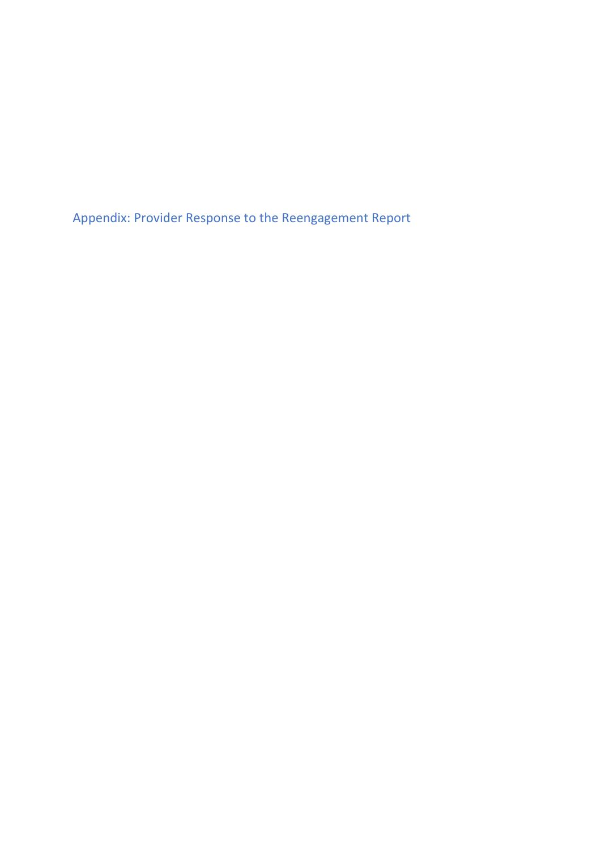Appendix: Provider Response to the Reengagement Report